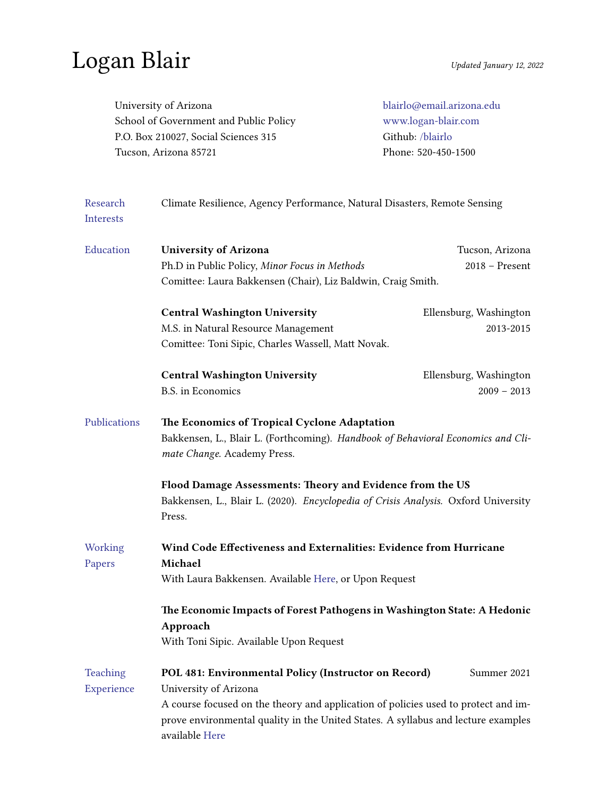## Logan Blair Updated January 12, 2022

| University of Arizona                                                                                                                                                           |                                                                                                                                                                                                                                                                            | blairlo@email.arizona.edu               |  |                       |
|---------------------------------------------------------------------------------------------------------------------------------------------------------------------------------|----------------------------------------------------------------------------------------------------------------------------------------------------------------------------------------------------------------------------------------------------------------------------|-----------------------------------------|--|-----------------------|
| School of Government and Public Policy                                                                                                                                          |                                                                                                                                                                                                                                                                            | www.logan-blair.com                     |  |                       |
| P.O. Box 210027, Social Sciences 315<br>Tucson, Arizona 85721                                                                                                                   |                                                                                                                                                                                                                                                                            | Github: /blairlo<br>Phone: 520-450-1500 |  |                       |
|                                                                                                                                                                                 |                                                                                                                                                                                                                                                                            |                                         |  | Research<br>Interests |
| Education                                                                                                                                                                       | <b>University of Arizona</b>                                                                                                                                                                                                                                               | Tucson, Arizona                         |  |                       |
|                                                                                                                                                                                 | Ph.D in Public Policy, Minor Focus in Methods<br>Comittee: Laura Bakkensen (Chair), Liz Baldwin, Craig Smith.                                                                                                                                                              | 2018 - Present                          |  |                       |
|                                                                                                                                                                                 | <b>Central Washington University</b>                                                                                                                                                                                                                                       | Ellensburg, Washington                  |  |                       |
|                                                                                                                                                                                 | M.S. in Natural Resource Management<br>Comittee: Toni Sipic, Charles Wassell, Matt Novak.                                                                                                                                                                                  | 2013-2015                               |  |                       |
|                                                                                                                                                                                 | <b>Central Washington University</b><br><b>B.S.</b> in Economics                                                                                                                                                                                                           | Ellensburg, Washington<br>$2009 - 2013$ |  |                       |
| Publications<br>The Economics of Tropical Cyclone Adaptation<br>Bakkensen, L., Blair L. (Forthcoming). Handbook of Behavioral Economics and Cli-<br>mate Change. Academy Press. |                                                                                                                                                                                                                                                                            |                                         |  |                       |
|                                                                                                                                                                                 | Flood Damage Assessments: Theory and Evidence from the US<br>Bakkensen, L., Blair L. (2020). Encyclopedia of Crisis Analysis. Oxford University                                                                                                                            |                                         |  |                       |
| Working<br>Papers                                                                                                                                                               | Wind Code Effectiveness and Externalities: Evidence from Hurricane<br>With Laura Bakkensen. Available Here, or Upon Request                                                                                                                                                |                                         |  |                       |
|                                                                                                                                                                                 | The Economic Impacts of Forest Pathogens in Washington State: A Hedonic<br>Approach<br>With Toni Sipic. Available Upon Request                                                                                                                                             |                                         |  |                       |
| Teaching<br>Experience                                                                                                                                                          | POL 481: Environmental Policy (Instructor on Record)<br>University of Arizona<br>A course focused on the theory and application of policies used to protect and im-<br>prove environmental quality in the United States. A syllabus and lecture examples<br>available Here | Summer 2021                             |  |                       |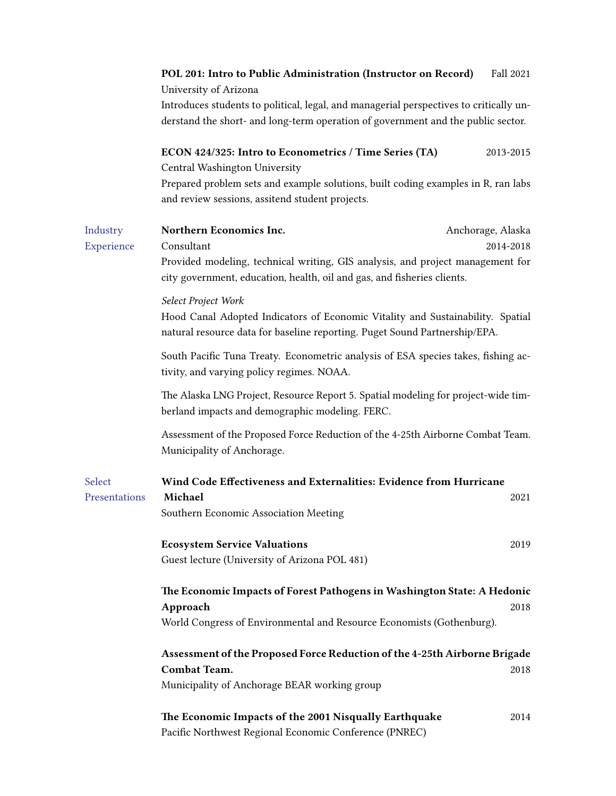|                               | POL 201: Intro to Public Administration (Instructor on Record)<br>University of Arizona                                                                                             | Fall 2021                      |  |  |
|-------------------------------|-------------------------------------------------------------------------------------------------------------------------------------------------------------------------------------|--------------------------------|--|--|
|                               | Introduces students to political, legal, and managerial perspectives to critically un-<br>derstand the short- and long-term operation of government and the public sector.          |                                |  |  |
|                               | ECON 424/325: Intro to Econometrics / Time Series (TA)<br>Central Washington University                                                                                             | 2013-2015                      |  |  |
|                               | Prepared problem sets and example solutions, built coding examples in R, ran labs<br>and review sessions, assitend student projects.                                                |                                |  |  |
| Industry<br><b>Experience</b> | Northern Economics Inc.<br>Consultant                                                                                                                                               | Anchorage, Alaska<br>2014-2018 |  |  |
|                               | Provided modeling, technical writing, GIS analysis, and project management for<br>city government, education, health, oil and gas, and fisheries clients.                           |                                |  |  |
|                               | Select Project Work<br>Hood Canal Adopted Indicators of Economic Vitality and Sustainability. Spatial<br>natural resource data for baseline reporting. Puget Sound Partnership/EPA. |                                |  |  |
|                               | South Pacific Tuna Treaty. Econometric analysis of ESA species takes, fishing ac-<br>tivity, and varying policy regimes. NOAA.                                                      |                                |  |  |
|                               | The Alaska LNG Project, Resource Report 5. Spatial modeling for project-wide tim-<br>berland impacts and demographic modeling. FERC.                                                |                                |  |  |
|                               | Assessment of the Proposed Force Reduction of the 4-25th Airborne Combat Team.<br>Municipality of Anchorage.                                                                        |                                |  |  |
| Select<br>Presentations       | Wind Code Effectiveness and Externalities: Evidence from Hurricane<br>Michael<br>Southern Economic Association Meeting                                                              | 2021                           |  |  |
|                               | <b>Ecosystem Service Valuations</b><br>Guest lecture (University of Arizona POL 481)                                                                                                | 2019                           |  |  |
|                               | The Economic Impacts of Forest Pathogens in Washington State: A Hedonic<br>Approach<br>2018                                                                                         |                                |  |  |
|                               | World Congress of Environmental and Resource Economists (Gothenburg).                                                                                                               |                                |  |  |
|                               | Assessment of the Proposed Force Reduction of the 4-25th Airborne Brigade<br><b>Combat Team.</b><br>2018<br>Municipality of Anchorage BEAR working group                            |                                |  |  |
|                               | The Economic Impacts of the 2001 Nisqually Earthquake<br>Pacific Northwest Regional Economic Conference (PNREC)                                                                     | 2014                           |  |  |